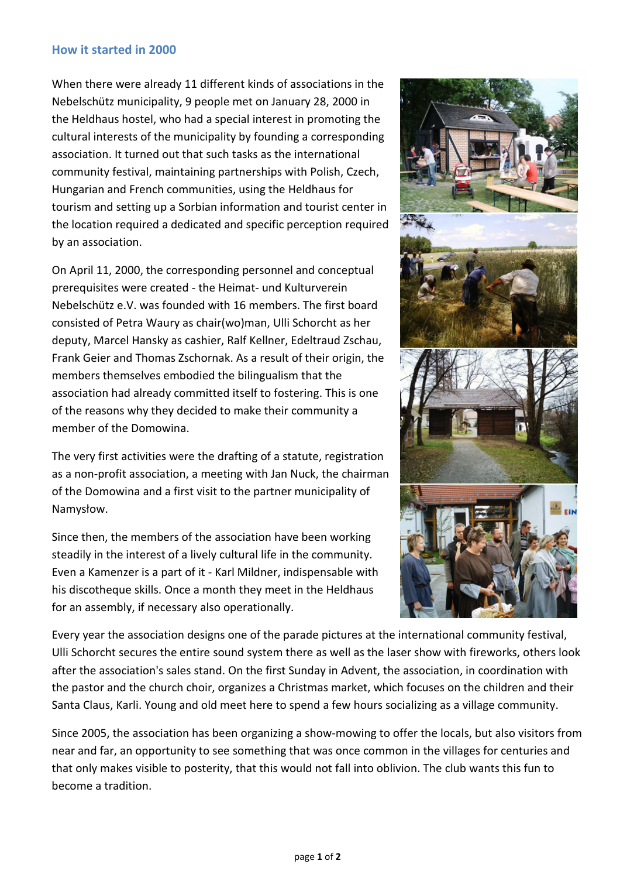## **How it started in 2000**

When there were already 11 different kinds of associations in the Nebelschütz municipality, 9 people met on January 28, 2000 in the Heldhaus hostel, who had a special interest in promoting the cultural interests of the municipality by founding a corresponding association. It turned out that such tasks as the international community festival, maintaining partnerships with Polish, Czech, Hungarian and French communities, using the Heldhaus for tourism and setting up a Sorbian information and tourist center in the location required a dedicated and specific perception required by an association.

On April 11, 2000, the corresponding personnel and conceptual prerequisites were created - the Heimat- und Kulturverein Nebelschütz e.V. was founded with 16 members. The first board consisted of Petra Waury as chair(wo)man, Ulli Schorcht as her deputy, Marcel Hansky as cashier, Ralf Kellner, Edeltraud Zschau, Frank Geier and Thomas Zschornak. As a result of their origin, the members themselves embodied the bilingualism that the association had already committed itself to fostering. This is one of the reasons why they decided to make their community a member of the Domowina.

The very first activities were the drafting of a statute, registration as a non-profit association, a meeting with Jan Nuck, the chairman of the Domowina and a first visit to the partner municipality of Namysłow.

Since then, the members of the association have been working steadily in the interest of a lively cultural life in the community. Even a Kamenzer is a part of it - Karl Mildner, indispensable with his discotheque skills. Once a month they meet in the Heldhaus for an assembly, if necessary also operationally.



Every year the association designs one of the parade pictures at the international community festival, Ulli Schorcht secures the entire sound system there as well as the laser show with fireworks, others look after the association's sales stand. On the first Sunday in Advent, the association, in coordination with the pastor and the church choir, organizes a Christmas market, which focuses on the children and their Santa Claus, Karli. Young and old meet here to spend a few hours socializing as a village community.

Since 2005, the association has been organizing a show-mowing to offer the locals, but also visitors from near and far, an opportunity to see something that was once common in the villages for centuries and that only makes visible to posterity, that this would not fall into oblivion. The club wants this fun to become a tradition.